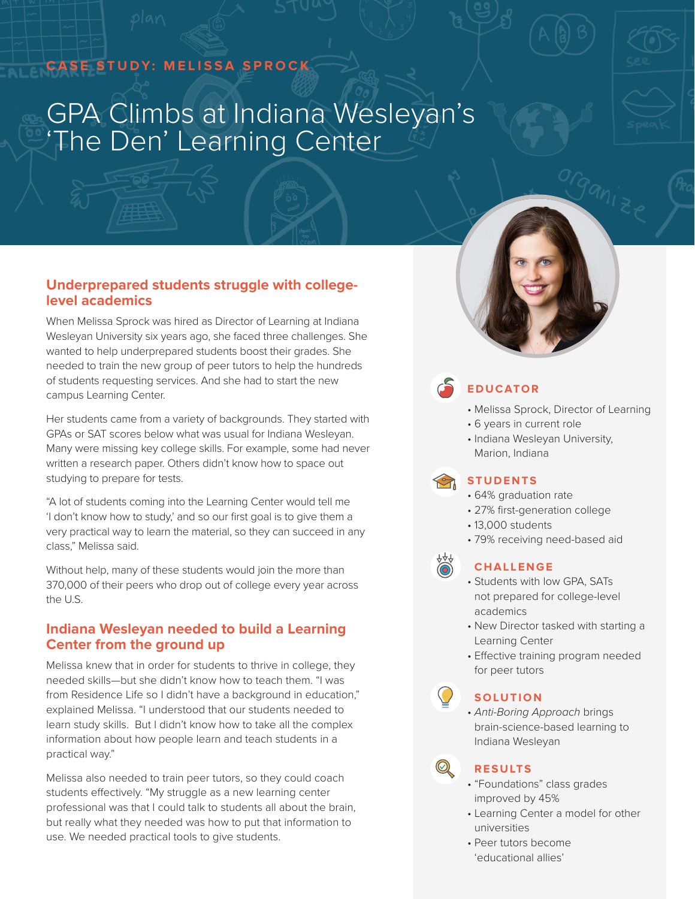# **CASE STUDY: MELISSA SPROCK**

# GPA Climbs at Indiana Wesleyan's 'The Den' Learning Center



When Melissa Sprock was hired as Director of Learning at Indiana Wesleyan University six years ago, she faced three challenges. She wanted to help underprepared students boost their grades. She needed to train the new group of peer tutors to help the hundreds of students requesting services. And she had to start the new campus Learning Center.

Her students came from a variety of backgrounds. They started with GPAs or SAT scores below what was usual for Indiana Wesleyan. Many were missing key college skills. For example, some had never written a research paper. Others didn't know how to space out studying to prepare for tests.

"A lot of students coming into the Learning Center would tell me 'I don't know how to study,' and so our first goal is to give them a very practical way to learn the material, so they can succeed in any class," Melissa said.

Without help, many of these students would join the more than 370,000 of their peers who drop out of college every year across the U.S.

# **Indiana Wesleyan needed to build a Learning Center from the ground up**

Melissa knew that in order for students to thrive in college, they needed skills—but she didn't know how to teach them. "I was from Residence Life so I didn't have a background in education," explained Melissa. "I understood that our students needed to learn study skills. But I didn't know how to take all the complex information about how people learn and teach students in a practical way."

Melissa also needed to train peer tutors, so they could coach students effectively. "My struggle as a new learning center professional was that I could talk to students all about the brain, but really what they needed was how to put that information to use. We needed practical tools to give students.



# **EDUCATOR**

- Melissa Sprock, Director of Learning
- 6 years in current role
- Indiana Wesleyan University, Marion, Indiana

# **STUDENTS**

- 64% graduation rate
- 27% first-generation college
- 13,000 students
- 79% receiving need-based aid

#### **CHALLENGE**

- Students with low GPA, SATs not prepared for college-level academics
- New Director tasked with starting a Learning Center
- Effective training program needed for peer tutors

#### **SOLUTION**

• *Anti-Boring Approach* brings brain-science-based learning to Indiana Wesleyan

#### **RESULTS**

 $\textcircled{\color{red}Q}$ 

- "Foundations" class grades improved by 45%
- Learning Center a model for other universities
- Peer tutors become 'educational allies'